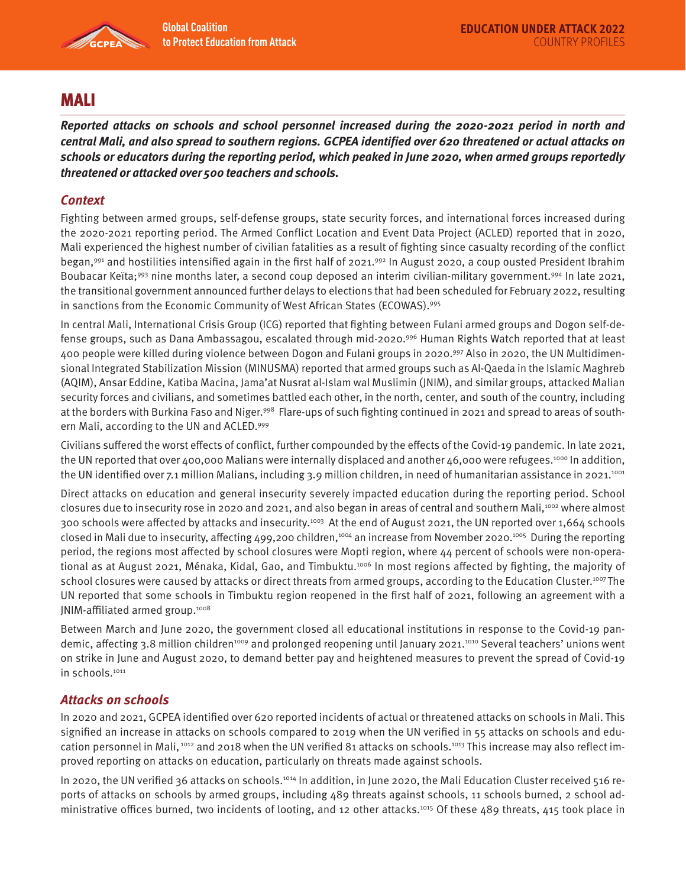

# MALI

**Reported attacks on schools and school personnel increased during the 2020-2021 period in north and central Mali, and also spread to southern regions. GCPEA identified over 620 threatened or actual attacks on schools or educators during the reporting period, which peaked in June 2020, when armed groups reportedly threatened or attacked over 500 teachers and schools.** 

## **Context**

Fighting between armed groups, self-defense groups, state security forces, and international forces increased during the 2020-2021 reporting period. The Armed Conflict Location and Event Data Project (ACLED) reported that in 2020, Mali experienced the highest number of civilian fatalities as a result of fighting since casualty recording of the conflict began,<sup>991</sup> and hostilities intensified again in the first half of 2021.<sup>992</sup> In August 2020, a coup ousted President Ibrahim Boubacar Keïta;<sup>993</sup> nine months later, a second coup deposed an interim civilian-military government.<sup>994</sup> In late 2021, the transitional government announced further delays to elections that had been scheduled for February 2022, resulting in sanctions from the Economic Community of West African States (ECOWAS).995

In central Mali, International Crisis Group (ICG) reported that fighting between Fulani armed groups and Dogon self-defense groups, such as Dana Ambassagou, escalated through mid-2020.996 Human Rights Watch reported that at least 400 people were killed during violence between Dogon and Fulani groups in 2020.997 Also in 2020, the UN Multidimensional Integrated Stabilization Mission (MINUSMA) reported that armed groups such as Al-Qaeda in the Islamic Maghreb (AQIM), Ansar Eddine, Katiba Macina, Jama'at Nusrat al-Islam wal Muslimin (JNIM), and similar groups, attacked Malian security forces and civilians, and sometimes battled each other, in the north, center, and south of the country, including at the borders with Burkina Faso and Niger.998 Flare-ups of such fighting continued in 2021 and spread to areas of southern Mali, according to the UN and ACLED.999

Civilians suffered the worst effects of conflict, further compounded by the effects of the Covid-19 pandemic. In late 2021, the UN reported that over 400,000 Malians were internally displaced and another 46,000 were refugees.<sup>1000</sup> In addition, the UN identified over 7.1 million Malians, including 3.9 million children, in need of humanitarian assistance in 2021.<sup>1001</sup>

Direct attacks on education and general insecurity severely impacted education during the reporting period. School closures due to insecurity rose in 2020 and 2021, and also began in areas of central and southern Mali,<sup>1002</sup> where almost 300 schools were affected by attacks and insecurity.1003 At the end of August 2021, the UN reported over 1,664 schools closed in Mali due to insecurity, affecting 499,200 children,<sup>1004</sup> an increase from November 2020.<sup>1005</sup> During the reporting period, the regions most affected by school closures were Mopti region, where 44 percent of schools were non-operational as at August 2021, Ménaka, Kidal, Gao, and Timbuktu.<sup>1006</sup> In most regions affected by fighting, the majority of school closures were caused by attacks or direct threats from armed groups, according to the Education Cluster.<sup>1007</sup> The UN reported that some schools in Timbuktu region reopened in the first half of 2021, following an agreement with a JNIM-affiliated armed group.<sup>1008</sup>

Between March and June 2020, the government closed all educational institutions in response to the Covid-19 pandemic, affecting 3.8 million children<sup>1009</sup> and prolonged reopening until January 2021.<sup>1010</sup> Several teachers' unions went on strike in June and August 2020, to demand better pay and heightened measures to prevent the spread of Covid-19 in schools.<sup>1011</sup>

### **Attacks on schools**

In 2020 and 2021, GCPEA identified over 620 reported incidents of actual or threatened attacks on schools in Mali. This signified an increase in attacks on schools compared to 2019 when the UN verified in 55 attacks on schools and education personnel in Mali, 1012 and 2018 when the UN verified 81 attacks on schools.1013 This increase may also reflect improved reporting on attacks on education, particularly on threats made against schools.

In 2020, the UN verified 36 attacks on schools.<sup>1014</sup> In addition, in June 2020, the Mali Education Cluster received 516 reports of attacks on schools by armed groups, including 489 threats against schools, 11 schools burned, 2 school administrative offices burned, two incidents of looting, and 12 other attacks.1015 Of these 489 threats, 415 took place in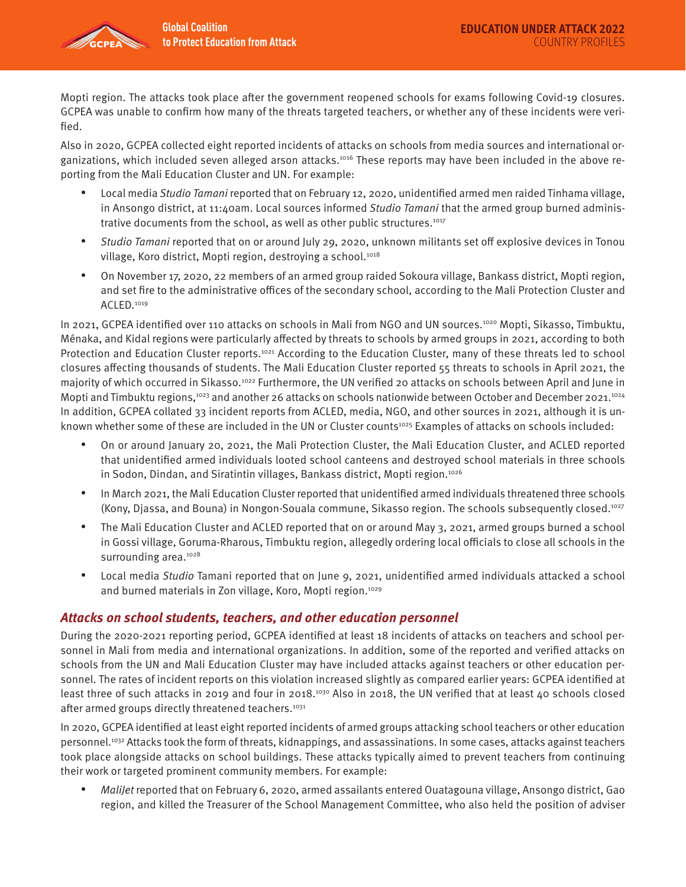

Mopti region. The attacks took place after the government reopened schools for exams following Covid-19 closures. GCPEA was unable to confirm how many of the threats targeted teachers, or whether any of these incidents were verified.

Also in 2020, GCPEA collected eight reported incidents of attacks on schools from media sources and international organizations, which included seven alleged arson attacks.<sup>1016</sup> These reports may have been included in the above reporting from the Mali Education Cluster and UN. For example:

- Local media Studio Tamani reported that on February 12, 2020, unidentified armed men raided Tinhama village, in Ansongo district, at 11:40am. Local sources informed Studio Tamani that the armed group burned administrative documents from the school, as well as other public structures.<sup>1017</sup>
- Studio Tamani reported that on or around July 29, 2020, unknown militants set off explosive devices in Tonou village, Koro district, Mopti region, destroying a school.<sup>1018</sup>
- On November 17, 2020, 22 members of an armed group raided Sokoura village, Bankass district, Mopti region, and set fire to the administrative offices of the secondary school, according to the Mali Protection Cluster and ACLED.1019

In 2021, GCPEA identified over 110 attacks on schools in Mali from NGO and UN sources.1020 Mopti, Sikasso, Timbuktu, Ménaka, and Kidal regions were particularly affected by threats to schools by armed groups in 2021, according to both Protection and Education Cluster reports.<sup>1021</sup> According to the Education Cluster, many of these threats led to school closures affecting thousands of students. The Mali Education Cluster reported 55 threats to schools in April 2021, the majority of which occurred in Sikasso.<sup>1022</sup> Furthermore, the UN verified 20 attacks on schools between April and June in Mopti and Timbuktu regions,<sup>1023</sup> and another 26 attacks on schools nationwide between October and December 2021.<sup>1024</sup> In addition, GCPEA collated 33 incident reports from ACLED, media, NGO, and other sources in 2021, although it is unknown whether some of these are included in the UN or Cluster counts<sup>1025</sup> Examples of attacks on schools included:

- On or around January 20, 2021, the Mali Protection Cluster, the Mali Education Cluster, and ACLED reported that unidentified armed individuals looted school canteens and destroyed school materials in three schools in Sodon, Dindan, and Siratintin villages, Bankass district, Mopti region.<sup>1026</sup>
- In March 2021, the Mali Education Cluster reported that unidentified armed individuals threatened three schools (Kony, Djassa, and Bouna) in Nongon-Souala commune, Sikasso region. The schools subsequently closed.1027
- The Mali Education Cluster and ACLED reported that on or around May 3, 2021, armed groups burned a school in Gossi village, Goruma-Rharous, Timbuktu region, allegedly ordering local officials to close all schools in the surrounding area.<sup>1028</sup>
- Local media Studio Tamani reported that on June 9, 2021, unidentified armed individuals attacked a school and burned materials in Zon village, Koro, Mopti region.<sup>1029</sup>

#### **Attacks on school students, teachers, and other education personnel**

During the 2020-2021 reporting period, GCPEA identified at least 18 incidents of attacks on teachers and school personnel in Mali from media and international organizations. In addition, some of the reported and verified attacks on schools from the UN and Mali Education Cluster may have included attacks against teachers or other education personnel. The rates of incident reports on this violation increased slightly as compared earlier years: GCPEA identified at least three of such attacks in 2019 and four in 2018.<sup>1030</sup> Also in 2018, the UN verified that at least 40 schools closed after armed groups directly threatened teachers.<sup>1031</sup>

In 2020, GCPEA identified at least eight reported incidents of armed groups attacking school teachers or other education personnel.<sup>1032</sup> Attacks took the form of threats, kidnappings, and assassinations. In some cases, attacks against teachers took place alongside attacks on school buildings. These attacks typically aimed to prevent teachers from continuing their work or targeted prominent community members. For example:

• MaliJet reported that on February 6, 2020, armed assailants entered Ouatagouna village, Ansongo district, Gao region, and killed the Treasurer of the School Management Committee, who also held the position of adviser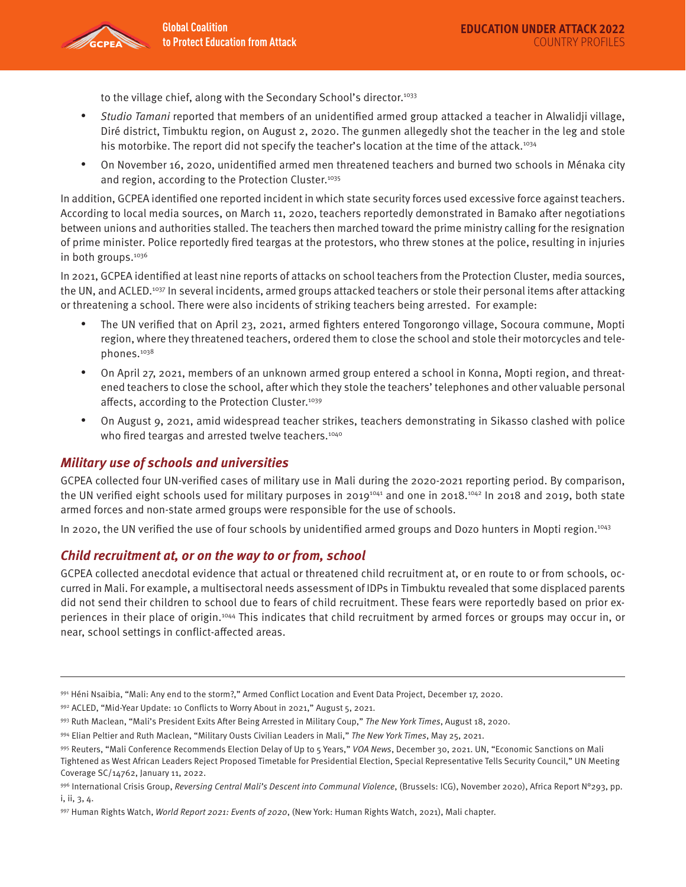to the village chief, along with the Secondary School's director.<sup>1033</sup>

- Studio Tamani reported that members of an unidentified armed group attacked a teacher in Alwalidji village, Diré district, Timbuktu region, on August 2, 2020. The gunmen allegedly shot the teacher in the leg and stole his motorbike. The report did not specify the teacher's location at the time of the attack.<sup>1034</sup>
- On November 16, 2020, unidentified armed men threatened teachers and burned two schools in Ménaka city and region, according to the Protection Cluster.<sup>1035</sup>

In addition, GCPEA identified one reported incident in which state security forces used excessive force against teachers. According to local media sources, on March 11, 2020, teachers reportedly demonstrated in Bamako after negotiations between unions and authorities stalled. The teachers then marched toward the prime ministry calling for the resignation of prime minister. Police reportedly fired teargas at the protestors, who threw stones at the police, resulting in injuries in both groups.<sup>1036</sup>

In 2021, GCPEA identified at least nine reports of attacks on school teachers from the Protection Cluster, media sources, the UN, and ACLED.1037 In several incidents, armed groups attacked teachers or stole their personal items after attacking or threatening a school. There were also incidents of striking teachers being arrested. For example:

- The UN verified that on April 23, 2021, armed fighters entered Tongorongo village, Socoura commune, Mopti region, where they threatened teachers, ordered them to close the school and stole their motorcycles and telephones.1038
- On April 27, 2021, members of an unknown armed group entered a school in Konna, Mopti region, and threatened teachers to close the school, after which they stole the teachers' telephones and other valuable personal affects, according to the Protection Cluster.<sup>1039</sup>
- On August 9, 2021, amid widespread teacher strikes, teachers demonstrating in Sikasso clashed with police who fired teargas and arrested twelve teachers.<sup>1040</sup>

#### **Military use of schools and universities**

GCPEA collected four UN-verified cases of military use in Mali during the 2020-2021 reporting period. By comparison, the UN verified eight schools used for military purposes in 2019<sup>1041</sup> and one in 2018.<sup>1042</sup> In 2018 and 2019, both state armed forces and non-state armed groups were responsible for the use of schools.

In 2020, the UN verified the use of four schools by unidentified armed groups and Dozo hunters in Mopti region.<sup>1043</sup>

#### **Child recruitment at, or on the way to or from, school**

GCPEA collected anecdotal evidence that actual or threatened child recruitment at, or en route to or from schools, occurred in Mali. For example, a multisectoral needs assessment of IDPs in Timbuktu revealed that some displaced parents did not send their children to school due to fears of child recruitment. These fears were reportedly based on prior experiences in their place of origin.1044 This indicates that child recruitment by armed forces or groups may occur in, or near, school settings in conflict-affected areas.

<sup>991</sup> Héni Nsaibia, "Mali: Any end to the storm?," Armed Conflict Location and Event Data Project, December 17, 2020.

<sup>992</sup> ACLED, "Mid-Year Update: 10 Conflicts to Worry About in 2021," August 5, 2021.

<sup>993</sup> Ruth Maclean, "Mali's President Exits After Being Arrested in Military Coup," The New York Times, August 18, 2020.

<sup>994</sup> Elian Peltier and Ruth Maclean, "Military Ousts Civilian Leaders in Mali," The New York Times, May 25, 2021.

<sup>995</sup> Reuters, "Mali Conference Recommends Election Delay of Up to 5 Years," VOA News, December 30, 2021. UN, "Economic Sanctions on Mali Tightened as West African Leaders Reject Proposed Timetable for Presidential Election, Special Representative Tells Security Council," UN Meeting Coverage SC/14762, January 11, 2022.

<sup>996</sup> International Crisis Group, Reversing Central Mali's Descent into Communal Violence, (Brussels: ICG), November 2020), Africa Report N°293, pp. i, ii, 3, 4.

<sup>997</sup> Human Rights Watch, World Report 2021: Events of 2020, (New York: Human Rights Watch, 2021), Mali chapter.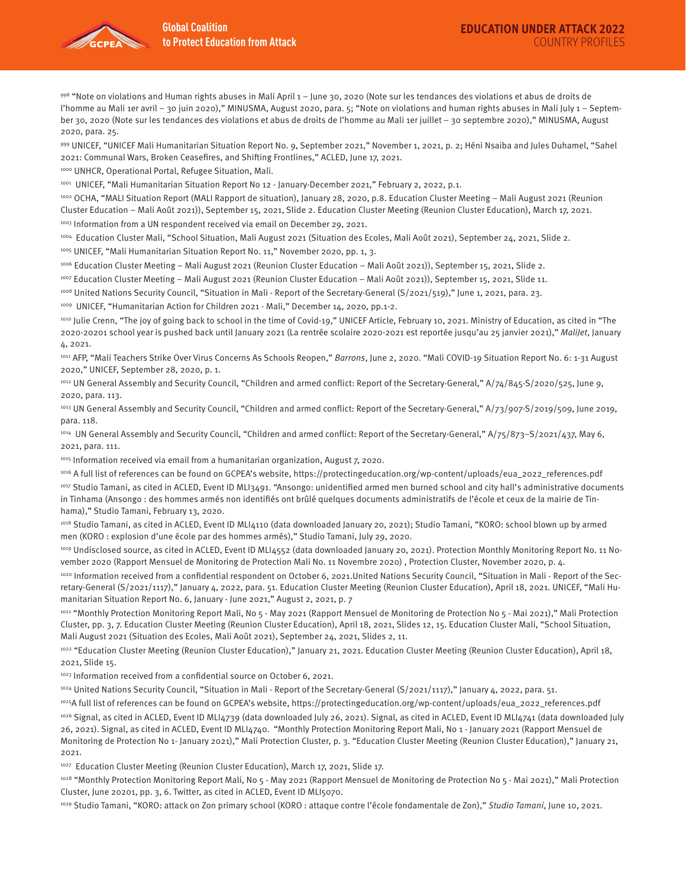

998 "Note on violations and Human rights abuses in Mali April 1 – June 30, 2020 (Note sur les tendances des violations et abus de droits de l'homme au Mali 1er avril – 30 juin 2020)," MINUSMA, August 2020, para. 5; "Note on violations and human rights abuses in Mali July 1 – September 30, 2020 (Note sur les tendances des violations et abus de droits de l'homme au Mali 1er juillet – 30 septembre 2020)," MINUSMA, August 2020, para. 25.

999 UNICEF, "UNICEF Mali Humanitarian Situation Report No. 9, September 2021," November 1, 2021, p. 2; Héni Nsaiba and Jules Duhamel, "Sahel 2021: Communal Wars, Broken Ceasefires, and Shifting Frontlines," ACLED, June 17, 2021.

1000 UNHCR, Operational Portal, Refugee Situation, Mali.

1001 UNICEF, "Mali Humanitarian Situation Report No 12 - January-December 2021," February 2, 2022, p.1.

1002 OCHA, "MALI Situation Report (MALI Rapport de situation), January 28, 2020, p.8. Education Cluster Meeting – Mali August 2021 (Reunion Cluster Education – Mali Août 2021)), September 15, 2021, Slide 2. Education Cluster Meeting (Reunion Cluster Education), March 17, 2021. 1003 Information from a UN respondent received via email on December 29, 2021.

1004 Education Cluster Mali, "School Situation, Mali August 2021 (Situation des Ecoles, Mali Août 2021), September 24, 2021, Slide 2.

1005 UNICEF, "Mali Humanitarian Situation Report No. 11," November 2020, pp. 1, 3.

1006 Education Cluster Meeting – Mali August 2021 (Reunion Cluster Education – Mali Août 2021)), September 15, 2021, Slide 2.

1007 Education Cluster Meeting – Mali August 2021 (Reunion Cluster Education – Mali Août 2021)), September 15, 2021, Slide 11.

1008 United Nations Security Council, "Situation in Mali - Report of the Secretary-General (S/2021/519)," June 1, 2021, para. 23.

1009 UNICEF, "Humanitarian Action for Children 2021 - Mali," December 14, 2020, pp.1-2.

1010 Julie Crenn, "The joy of going back to school in the time of Covid-19," UNICEF Article, February 10, 2021. Ministry of Education, as cited in "The 2020-20201 school year is pushed back until January 2021 (La rentrée scolaire 2020-2021 est reportée jusqu'au 25 janvier 2021)," MaliJet, January 4, 2021.

1011 AFP, "Mali Teachers Strike Over Virus Concerns As Schools Reopen," Barrons, June 2, 2020. "Mali COVID-19 Situation Report No. 6: 1-31 August 2020," UNICEF, September 28, 2020, p. 1.

1012 UN General Assembly and Security Council, "Children and armed conflict: Report of the Secretary-General," A/74/845-S/2020/525, June 9, 2020, para. 113.

<sup>1013</sup> UN General Assembly and Security Council, "Children and armed conflict: Report of the Secretary-General," A/73/907-S/2019/509, June 2019, para. 118.

<sup>1014</sup> UN General Assembly and Security Council, "Children and armed conflict: Report of the Secretary-General," A/75/873-S/2021/437, May 6, 2021, para. 111.

1015 Information received via email from a humanitarian organization, August 7, 2020.

1016 A full list of references can be found on GCPEA's website, https://protectingeducation.org/wp-content/uploads/eua\_2022\_references.pdf 1017 Studio Tamani, as cited in ACLED, Event ID MLI3491. "Ansongo: unidentified armed men burned school and city hall's administrative documents in Tinhama (Ansongo : des hommes armés non identifiés ont brûlé quelques documents administratifs de l'école et ceux de la mairie de Tinhama)," Studio Tamani, February 13, 2020.

1018 Studio Tamani, as cited in ACLED, Event ID MLI4110 (data downloaded January 20, 2021); Studio Tamani, "KORO: school blown up by armed men (KORO : explosion d'une école par des hommes armés)," Studio Tamani, July 29, 2020.

<sup>1019</sup> Undisclosed source, as cited in ACLED, Event ID MLI4552 (data downloaded January 20, 2021). Protection Monthly Monitoring Report No. 11 November 2020 (Rapport Mensuel de Monitoring de Protection Mali No. 11 Novembre 2020) , Protection Cluster, November 2020, p. 4.

1020 Information received from a confidential respondent on October 6, 2021.United Nations Security Council, "Situation in Mali - Report of the Secretary-General (S/2021/1117)," January 4, 2022, para. 51. Education Cluster Meeting (Reunion Cluster Education), April 18, 2021. UNICEF, "Mali Humanitarian Situation Report No. 6, January - June 2021," August 2, 2021, p. 7

1021 "Monthly Protection Monitoring Report Mali, No 5 - May 2021 (Rapport Mensuel de Monitoring de Protection No 5 - Mai 2021)," Mali Protection Cluster, pp. 3, 7. Education Cluster Meeting (Reunion Cluster Education), April 18, 2021, Slides 12, 15. Education Cluster Mali, "School Situation, Mali August 2021 (Situation des Ecoles, Mali Août 2021), September 24, 2021, Slides 2, 11.

1022 "Education Cluster Meeting (Reunion Cluster Education)," January 21, 2021. Education Cluster Meeting (Reunion Cluster Education), April 18, 2021, Slide 15.

1023 Information received from a confidential source on October 6, 2021.

1024 United Nations Security Council, "Situation in Mali - Report of the Secretary-General (S/2021/1117)," January 4, 2022, para. 51.

1025A full list of references can be found on GCPEA's website, https://protectingeducation.org/wp-content/uploads/eua\_2022\_references.pdf

1026 Signal, as cited in ACLED, Event ID MLI4739 (data downloaded July 26, 2021). Signal, as cited in ACLED, Event ID MLI4741 (data downloaded July 26, 2021). Signal, as cited in ACLED, Event ID MLI4740. "Monthly Protection Monitoring Report Mali, No 1 - January 2021 (Rapport Mensuel de Monitoring de Protection No 1- January 2021)," Mali Protection Cluster, p. 3. "Education Cluster Meeting (Reunion Cluster Education)," January 21, 2021.

<sup>1027</sup> Education Cluster Meeting (Reunion Cluster Education), March 17, 2021, Slide 17.

1028 "Monthly Protection Monitoring Report Mali, No 5 - May 2021 (Rapport Mensuel de Monitoring de Protection No 5 - Mai 2021)," Mali Protection Cluster, June 20201, pp. 3, 6. Twitter, as cited in ACLED, Event ID MLI5070.

1029 Studio Tamani, "KORO: attack on Zon primary school (KORO: attaque contre l'école fondamentale de Zon)," Studio Tamani, June 10, 2021.